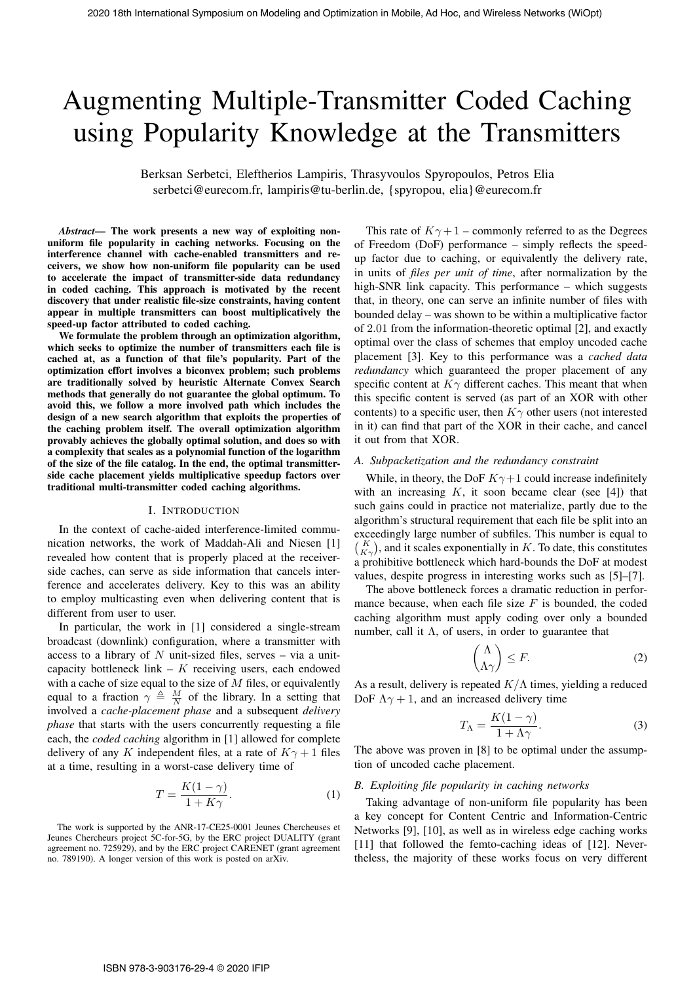# Augmenting Multiple-Transmitter Coded Caching using Popularity Knowledge at the Transmitters

Berksan Serbetci, Eleftherios Lampiris, Thrasyvoulos Spyropoulos, Petros Elia serbetci@eurecom.fr, lampiris@tu-berlin.de, {spyropou, elia}@eurecom.fr

*Abstract*— The work presents a new way of exploiting nonuniform file popularity in caching networks. Focusing on the interference channel with cache-enabled transmitters and receivers, we show how non-uniform file popularity can be used to accelerate the impact of transmitter-side data redundancy in coded caching. This approach is motivated by the recent discovery that under realistic file-size constraints, having content appear in multiple transmitters can boost multiplicatively the speed-up factor attributed to coded caching.

We formulate the problem through an optimization algorithm, which seeks to optimize the number of transmitters each file is cached at, as a function of that file's popularity. Part of the optimization effort involves a biconvex problem; such problems are traditionally solved by heuristic Alternate Convex Search methods that generally do not guarantee the global optimum. To avoid this, we follow a more involved path which includes the design of a new search algorithm that exploits the properties of the caching problem itself. The overall optimization algorithm provably achieves the globally optimal solution, and does so with a complexity that scales as a polynomial function of the logarithm of the size of the file catalog. In the end, the optimal transmitterside cache placement yields multiplicative speedup factors over traditional multi-transmitter coded caching algorithms.

#### I. INTRODUCTION

In the context of cache-aided interference-limited communication networks, the work of Maddah-Ali and Niesen [1] revealed how content that is properly placed at the receiverside caches, can serve as side information that cancels interference and accelerates delivery. Key to this was an ability to employ multicasting even when delivering content that is different from user to user.

In particular, the work in [1] considered a single-stream broadcast (downlink) configuration, where a transmitter with access to a library of  $N$  unit-sized files, serves – via a unitcapacity bottleneck link  $-$  K receiving users, each endowed with a cache of size equal to the size of  $M$  files, or equivalently equal to a fraction  $\gamma \triangleq \frac{M}{N}$  of the library. In a setting that involved a *cache-placement phase* and a subsequent *delivery phase* that starts with the users concurrently requesting a file each, the *coded caching* algorithm in [1] allowed for complete delivery of any K independent files, at a rate of  $K\gamma + 1$  files at a time, resulting in a worst-case delivery time of

$$
T = \frac{K(1 - \gamma)}{1 + K\gamma}.
$$
 (1)

The work is supported by the ANR-17-CE25-0001 Jeunes Chercheuses et Jeunes Chercheurs project 5C-for-5G, by the ERC project DUALITY (grant agreement no. 725929), and by the ERC project CARENET (grant agreement no. 789190). A longer version of this work is posted on arXiv.

This rate of  $K\gamma + 1$  – commonly referred to as the Degrees of Freedom (DoF) performance – simply reflects the speedup factor due to caching, or equivalently the delivery rate, in units of *files per unit of time*, after normalization by the high-SNR link capacity. This performance – which suggests that, in theory, one can serve an infinite number of files with bounded delay – was shown to be within a multiplicative factor of 2.01 from the information-theoretic optimal [2], and exactly optimal over the class of schemes that employ uncoded cache placement [3]. Key to this performance was a *cached data redundancy* which guaranteed the proper placement of any specific content at  $K\gamma$  different caches. This meant that when this specific content is served (as part of an XOR with other contents) to a specific user, then  $K\gamma$  other users (not interested in it) can find that part of the XOR in their cache, and cancel it out from that XOR. 2020 18th International Symposium on Modeling and Optimization in Modeling and Hockman Symposium on Modeling and Theorem Symposium on Modeling and Theorem Symposium on Modeling and Theorem Symposium of The Symposium of Th

#### *A. Subpacketization and the redundancy constraint*

While, in theory, the DoF  $K\gamma+1$  could increase indefinitely with an increasing  $K$ , it soon became clear (see [4]) that such gains could in practice not materialize, partly due to the algorithm's structural requirement that each file be split into an exceedingly large number of subfiles. This number is equal to  $\binom{K}{K\gamma}$ , and it scales exponentially in K. To date, this constitutes a prohibitive bottleneck which hard-bounds the DoF at modest values, despite progress in interesting works such as [5]–[7].

The above bottleneck forces a dramatic reduction in performance because, when each file size  $F$  is bounded, the coded caching algorithm must apply coding over only a bounded number, call it Λ, of users, in order to guarantee that

$$
\binom{\Lambda}{\Lambda\gamma} \le F. \tag{2}
$$

As a result, delivery is repeated  $K/\Lambda$  times, yielding a reduced DoF  $\Lambda \gamma + 1$ , and an increased delivery time

$$
T_{\Lambda} = \frac{K(1 - \gamma)}{1 + \Lambda \gamma}.
$$
 (3)

The above was proven in [8] to be optimal under the assumption of uncoded cache placement.

## *B. Exploiting file popularity in caching networks*

Taking advantage of non-uniform file popularity has been a key concept for Content Centric and Information-Centric Networks [9], [10], as well as in wireless edge caching works [11] that followed the femto-caching ideas of [12]. Nevertheless, the majority of these works focus on very different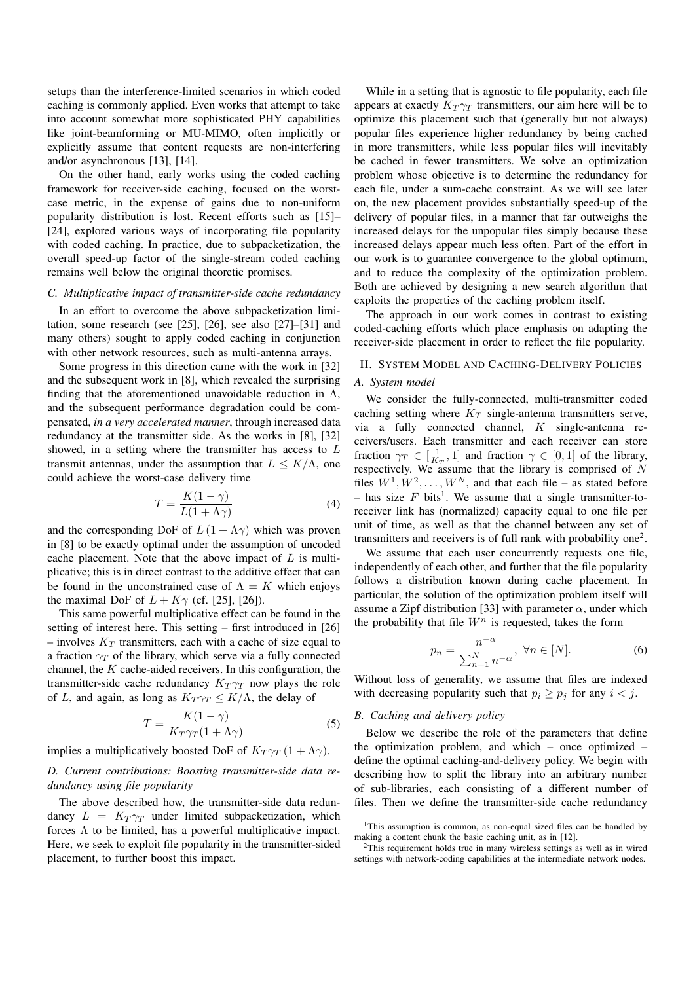setups than the interference-limited scenarios in which coded caching is commonly applied. Even works that attempt to take into account somewhat more sophisticated PHY capabilities like joint-beamforming or MU-MIMO, often implicitly or explicitly assume that content requests are non-interfering and/or asynchronous [13], [14].

On the other hand, early works using the coded caching framework for receiver-side caching, focused on the worstcase metric, in the expense of gains due to non-uniform popularity distribution is lost. Recent efforts such as [15]– [24], explored various ways of incorporating file popularity with coded caching. In practice, due to subpacketization, the overall speed-up factor of the single-stream coded caching remains well below the original theoretic promises.

## *C. Multiplicative impact of transmitter-side cache redundancy*

In an effort to overcome the above subpacketization limitation, some research (see [25], [26], see also [27]–[31] and many others) sought to apply coded caching in conjunction with other network resources, such as multi-antenna arrays.

Some progress in this direction came with the work in [32] and the subsequent work in [8], which revealed the surprising finding that the aforementioned unavoidable reduction in  $\Lambda$ , and the subsequent performance degradation could be compensated, *in a very accelerated manner*, through increased data redundancy at the transmitter side. As the works in [8], [32] showed, in a setting where the transmitter has access to L transmit antennas, under the assumption that  $L \leq K/\Lambda$ , one could achieve the worst-case delivery time

$$
T = \frac{K(1 - \gamma)}{L(1 + \Lambda\gamma)}\tag{4}
$$

and the corresponding DoF of  $L(1 + \Lambda \gamma)$  which was proven in [8] to be exactly optimal under the assumption of uncoded cache placement. Note that the above impact of  $L$  is multiplicative; this is in direct contrast to the additive effect that can be found in the unconstrained case of  $\Lambda = K$  which enjoys the maximal DoF of  $L + K\gamma$  (cf. [25], [26]).

This same powerful multiplicative effect can be found in the setting of interest here. This setting – first introduced in [26] – involves  $K_T$  transmitters, each with a cache of size equal to a fraction  $\gamma_T$  of the library, which serve via a fully connected channel, the  $K$  cache-aided receivers. In this configuration, the transmitter-side cache redundancy  $K_T \gamma_T$  now plays the role of L, and again, as long as  $K_T \gamma_T \leq K/\Lambda$ , the delay of

$$
T = \frac{K(1 - \gamma)}{K_T \gamma_T (1 + \Lambda \gamma)}\tag{5}
$$

implies a multiplicatively boosted DoF of  $K_T \gamma_T (1 + \Lambda \gamma)$ .

## *D. Current contributions: Boosting transmitter-side data redundancy using file popularity*

The above described how, the transmitter-side data redundancy  $L = K_T \gamma_T$  under limited subpacketization, which forces  $\Lambda$  to be limited, has a powerful multiplicative impact. Here, we seek to exploit file popularity in the transmitter-sided placement, to further boost this impact.

While in a setting that is agnostic to file popularity, each file appears at exactly  $K_T \gamma_T$  transmitters, our aim here will be to optimize this placement such that (generally but not always) popular files experience higher redundancy by being cached in more transmitters, while less popular files will inevitably be cached in fewer transmitters. We solve an optimization problem whose objective is to determine the redundancy for each file, under a sum-cache constraint. As we will see later on, the new placement provides substantially speed-up of the delivery of popular files, in a manner that far outweighs the increased delays for the unpopular files simply because these increased delays appear much less often. Part of the effort in our work is to guarantee convergence to the global optimum, and to reduce the complexity of the optimization problem. Both are achieved by designing a new search algorithm that exploits the properties of the caching problem itself.

The approach in our work comes in contrast to existing coded-caching efforts which place emphasis on adapting the receiver-side placement in order to reflect the file popularity.

# II. SYSTEM MODEL AND CACHING-DELIVERY POLICIES

## *A. System model*

We consider the fully-connected, multi-transmitter coded caching setting where  $K_T$  single-antenna transmitters serve, via a fully connected channel, K single-antenna receivers/users. Each transmitter and each receiver can store fraction  $\gamma_T \in \left[\frac{1}{K_T}, 1\right]$  and fraction  $\gamma \in [0, 1]$  of the library, respectively. We assume that the library is comprised of  $N$ files  $W^1, W^2, \ldots, W^N$ , and that each file – as stated before - has size  $F$  bits<sup>1</sup>. We assume that a single transmitter-toreceiver link has (normalized) capacity equal to one file per unit of time, as well as that the channel between any set of transmitters and receivers is of full rank with probability one<sup>2</sup>.

We assume that each user concurrently requests one file, independently of each other, and further that the file popularity follows a distribution known during cache placement. In particular, the solution of the optimization problem itself will assume a Zipf distribution [33] with parameter  $\alpha$ , under which the probability that file  $W<sup>n</sup>$  is requested, takes the form

$$
p_n = \frac{n^{-\alpha}}{\sum_{n=1}^{N} n^{-\alpha}}, \ \forall n \in [N].
$$
 (6)

Without loss of generality, we assume that files are indexed with decreasing popularity such that  $p_i \geq p_j$  for any  $i < j$ .

#### *B. Caching and delivery policy*

Below we describe the role of the parameters that define the optimization problem, and which – once optimized – define the optimal caching-and-delivery policy. We begin with describing how to split the library into an arbitrary number of sub-libraries, each consisting of a different number of files. Then we define the transmitter-side cache redundancy

<sup>&</sup>lt;sup>1</sup>This assumption is common, as non-equal sized files can be handled by making a content chunk the basic caching unit, as in [12].

<sup>&</sup>lt;sup>2</sup>This requirement holds true in many wireless settings as well as in wired settings with network-coding capabilities at the intermediate network nodes.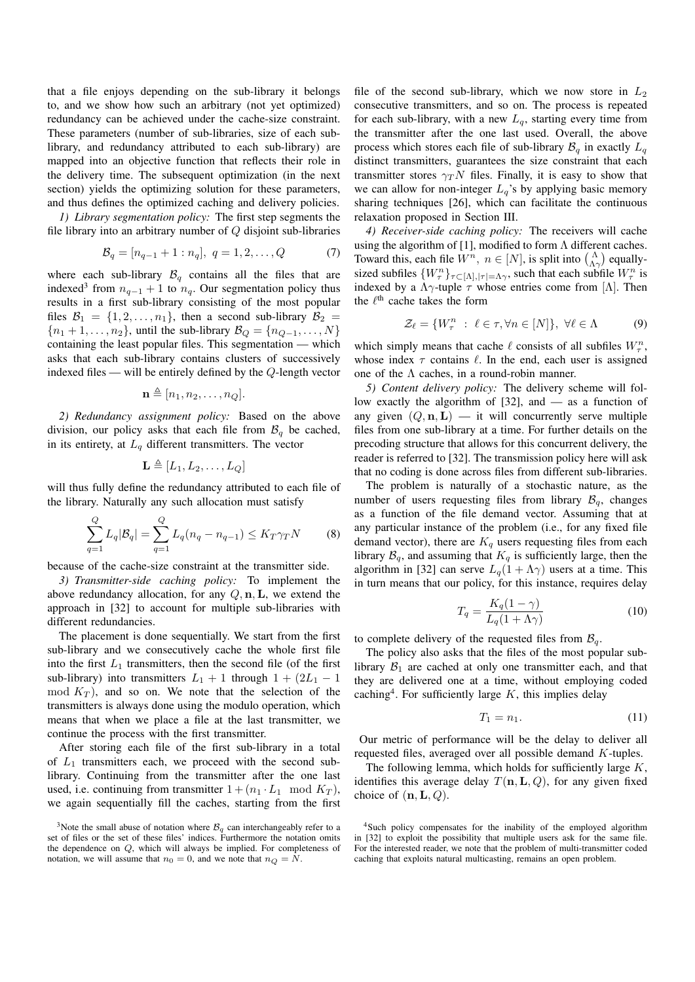that a file enjoys depending on the sub-library it belongs to, and we show how such an arbitrary (not yet optimized) redundancy can be achieved under the cache-size constraint. These parameters (number of sub-libraries, size of each sublibrary, and redundancy attributed to each sub-library) are mapped into an objective function that reflects their role in the delivery time. The subsequent optimization (in the next section) yields the optimizing solution for these parameters, and thus defines the optimized caching and delivery policies.

*1) Library segmentation policy:* The first step segments the file library into an arbitrary number of  $Q$  disjoint sub-libraries

$$
\mathcal{B}_q = [n_{q-1} + 1 : n_q], \ q = 1, 2, \dots, Q \tag{7}
$$

where each sub-library  $\mathcal{B}_q$  contains all the files that are indexed<sup>3</sup> from  $n_{q-1} + 1$  to  $n_q$ . Our segmentation policy thus results in a first sub-library consisting of the most popular files  $\mathcal{B}_1 = \{1, 2, \ldots, n_1\}$ , then a second sub-library  $\mathcal{B}_2 =$  ${n_1 + 1, \ldots, n_2}$ , until the sub-library  $B_Q = {n_{Q-1}, \ldots, N}$ containing the least popular files. This segmentation — which asks that each sub-library contains clusters of successively indexed files — will be entirely defined by the Q-length vector

$$
\mathbf{n} \triangleq [n_1, n_2, \dots, n_Q].
$$

*2) Redundancy assignment policy:* Based on the above division, our policy asks that each file from  $\mathcal{B}_q$  be cached, in its entirety, at  $L_q$  different transmitters. The vector

$$
\mathbf{L} \triangleq [L_1, L_2, \ldots, L_Q]
$$

will thus fully define the redundancy attributed to each file of the library. Naturally any such allocation must satisfy

$$
\sum_{q=1}^{Q} L_q |\mathcal{B}_q| = \sum_{q=1}^{Q} L_q (n_q - n_{q-1}) \le K_T \gamma_T N \tag{8}
$$

because of the cache-size constraint at the transmitter side.

*3) Transmitter-side caching policy:* To implement the above redundancy allocation, for any  $Q, n, L$ , we extend the approach in [32] to account for multiple sub-libraries with different redundancies.

The placement is done sequentially. We start from the first sub-library and we consecutively cache the whole first file into the first  $L_1$  transmitters, then the second file (of the first sub-library) into transmitters  $L_1 + 1$  through  $1 + (2L_1 - 1)$ mod  $K_T$ ), and so on. We note that the selection of the transmitters is always done using the modulo operation, which means that when we place a file at the last transmitter, we continue the process with the first transmitter.

After storing each file of the first sub-library in a total of  $L_1$  transmitters each, we proceed with the second sublibrary. Continuing from the transmitter after the one last used, i.e. continuing from transmitter  $1 + (n_1 \cdot L_1 \mod K_T)$ , we again sequentially fill the caches, starting from the first

file of the second sub-library, which we now store in  $L_2$ consecutive transmitters, and so on. The process is repeated for each sub-library, with a new  $L_q$ , starting every time from the transmitter after the one last used. Overall, the above process which stores each file of sub-library  $\mathcal{B}_{q}$  in exactly  $L_{q}$ distinct transmitters, guarantees the size constraint that each transmitter stores  $\gamma T N$  files. Finally, it is easy to show that we can allow for non-integer  $L_q$ 's by applying basic memory sharing techniques [26], which can facilitate the continuous relaxation proposed in Section III.

*4) Receiver-side caching policy:* The receivers will cache using the algorithm of [1], modified to form  $\Lambda$  different caches. Toward this, each file  $W^n$ ,  $n \in [N]$ , is split into  $\binom{\Lambda}{\Lambda \gamma}$  equallysized subfiles  $\{W_{\tau}^{n}\}_{\tau \subset [\Lambda], |\tau| = \Lambda \gamma}$ , such that each subfile  $W_{\tau}^{n}$  is indexed by a  $\Lambda \gamma$ -tuple  $\tau$  whose entries come from [ $\Lambda$ ]. Then the  $\ell^{\text{th}}$  cache takes the form

$$
\mathcal{Z}_{\ell} = \{ W_{\tau}^{n} : \ell \in \tau, \forall n \in [N] \}, \ \forall \ell \in \Lambda \tag{9}
$$

which simply means that cache  $\ell$  consists of all subfiles  $W_\tau^n$ , whose index  $\tau$  contains  $\ell$ . In the end, each user is assigned one of the  $\Lambda$  caches, in a round-robin manner.

*5) Content delivery policy:* The delivery scheme will follow exactly the algorithm of [32], and — as a function of any given  $(Q, n, L)$  — it will concurrently serve multiple files from one sub-library at a time. For further details on the precoding structure that allows for this concurrent delivery, the reader is referred to [32]. The transmission policy here will ask that no coding is done across files from different sub-libraries.

The problem is naturally of a stochastic nature, as the number of users requesting files from library  $\mathcal{B}_q$ , changes as a function of the file demand vector. Assuming that at any particular instance of the problem (i.e., for any fixed file demand vector), there are  $K_q$  users requesting files from each library  $\mathcal{B}_q$ , and assuming that  $K_q$  is sufficiently large, then the algorithm in [32] can serve  $L_q(1 + \Lambda \gamma)$  users at a time. This in turn means that our policy, for this instance, requires delay

$$
T_q = \frac{K_q(1-\gamma)}{L_q(1+\Lambda\gamma)}\tag{10}
$$

to complete delivery of the requested files from  $\mathcal{B}_q$ .

The policy also asks that the files of the most popular sublibrary  $\mathcal{B}_1$  are cached at only one transmitter each, and that they are delivered one at a time, without employing coded caching<sup>4</sup>. For sufficiently large  $K$ , this implies delay

$$
T_1 = n_1. \tag{11}
$$

Our metric of performance will be the delay to deliver all requested files, averaged over all possible demand K-tuples.

The following lemma, which holds for sufficiently large  $K$ , identifies this average delay  $T(n, L, Q)$ , for any given fixed choice of  $(n, L, Q)$ .

<sup>&</sup>lt;sup>3</sup>Note the small abuse of notation where  $\mathcal{B}_{q}$  can interchangeably refer to a set of files or the set of these files' indices. Furthermore the notation omits the dependence on Q, which will always be implied. For completeness of notation, we will assume that  $n_0 = 0$ , and we note that  $n_Q = N$ .

<sup>4</sup>Such policy compensates for the inability of the employed algorithm in [32] to exploit the possibility that multiple users ask for the same file. For the interested reader, we note that the problem of multi-transmitter coded caching that exploits natural multicasting, remains an open problem.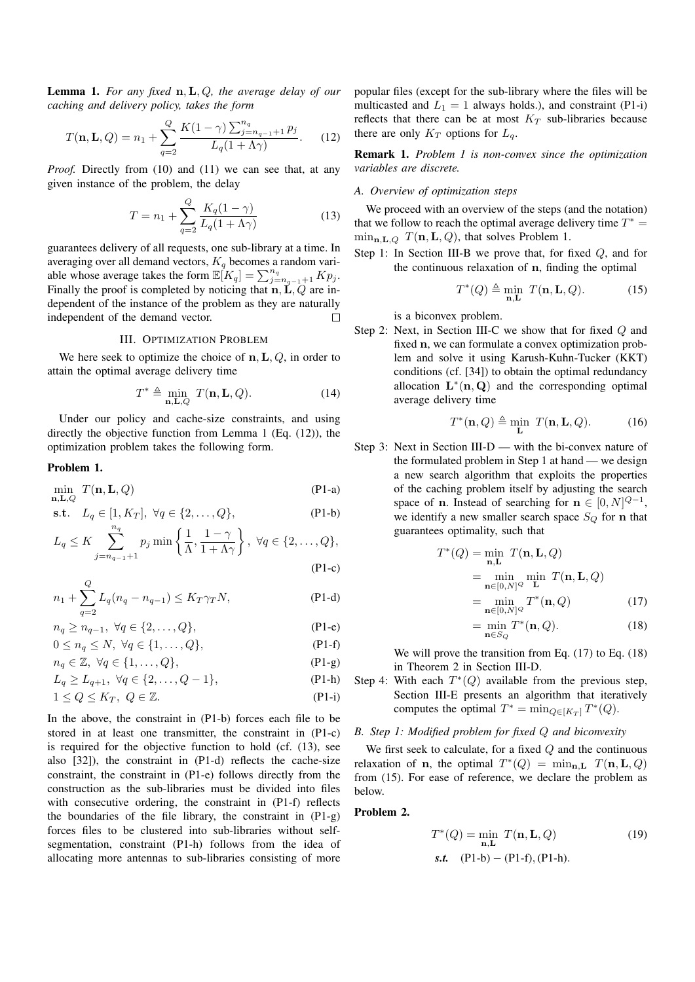Lemma 1. *For any fixed* n,L, Q*, the average delay of our caching and delivery policy, takes the form*

$$
T(\mathbf{n}, \mathbf{L}, Q) = n_1 + \sum_{q=2}^{Q} \frac{K(1-\gamma) \sum_{j=n_{q-1}+1}^{n_q} p_j}{L_q(1+\Lambda \gamma)}.
$$
 (12)

*Proof.* Directly from (10) and (11) we can see that, at any given instance of the problem, the delay

$$
T = n_1 + \sum_{q=2}^{Q} \frac{K_q(1-\gamma)}{L_q(1+\Lambda\gamma)}
$$
(13)

guarantees delivery of all requests, one sub-library at a time. In averaging over all demand vectors,  $K_q$  becomes a random variable whose average takes the form  $\mathbb{E}[K_q] = \sum_{j=n_{q-1}+1}^{n_q} K p_j$ . Finally the proof is completed by noticing that  $n, L, Q$  are independent of the instance of the problem as they are naturally independent of the demand vector.  $\Box$ 

## III. OPTIMIZATION PROBLEM

We here seek to optimize the choice of  $n, L, Q$ , in order to attain the optimal average delivery time

$$
T^* \triangleq \min_{\mathbf{n}, \mathbf{L}, Q} T(\mathbf{n}, \mathbf{L}, Q). \tag{14}
$$

Under our policy and cache-size constraints, and using directly the objective function from Lemma 1 (Eq. (12)), the optimization problem takes the following form.

## Problem 1.

$$
\min_{\mathbf{n}, \mathbf{L}, Q} T(\mathbf{n}, \mathbf{L}, Q) \tag{P1-a}
$$

s.t. 
$$
L_q \in [1, K_T], \ \forall q \in \{2, ..., Q\},
$$
 (P1-b)

$$
L_q \le K \sum_{j=n_{q-1}+1}^{n_q} p_j \min\left\{\frac{1}{\Lambda}, \frac{1-\gamma}{1+\Lambda\gamma}\right\}, \ \forall q \in \{2,\ldots,Q\},\
$$
 (P1-c)

$$
+\sum_{k=1}^{Q} L_{\alpha}(n_{\alpha}-n_{\alpha-1}) < K_{T}\gamma_{T}N. \tag{P1-d}
$$

$$
n_1 + \sum_{q=2} L_q(n_q - n_{q-1}) \le K_T \gamma_T N,
$$
 (P1-d)

$$
n_q \ge n_{q-1}, \ \forall q \in \{2,\ldots,Q\},\tag{P1-e}
$$

$$
0 \le n_q \le N, \ \forall q \in \{1, \dots, Q\},\tag{P1-f}
$$

$$
n_q \in \mathbb{Z}, \ \forall q \in \{1, \dots, Q\}, \tag{P1-g}
$$

$$
L_q \ge L_{q+1}, \ \forall q \in \{2, \dots, Q-1\},\tag{P1-h}
$$

$$
1 \le Q \le K_T, \ Q \in \mathbb{Z}.\tag{P1-i}
$$

In the above, the constraint in (P1-b) forces each file to be stored in at least one transmitter, the constraint in (P1-c) is required for the objective function to hold (cf. (13), see also [32]), the constraint in (P1-d) reflects the cache-size constraint, the constraint in (P1-e) follows directly from the construction as the sub-libraries must be divided into files with consecutive ordering, the constraint in (P1-f) reflects the boundaries of the file library, the constraint in (P1-g) forces files to be clustered into sub-libraries without selfsegmentation, constraint (P1-h) follows from the idea of allocating more antennas to sub-libraries consisting of more

popular files (except for the sub-library where the files will be multicasted and  $L_1 = 1$  always holds.), and constraint (P1-i) reflects that there can be at most  $K_T$  sub-libraries because there are only  $K_T$  options for  $L_q$ .

Remark 1. *Problem 1 is non-convex since the optimization variables are discrete.*

#### *A. Overview of optimization steps*

We proceed with an overview of the steps (and the notation) that we follow to reach the optimal average delivery time  $T^* =$  $\min_{\mathbf{n},\mathbf{L},Q} T(\mathbf{n},\mathbf{L},Q)$ , that solves Problem 1.

Step 1: In Section III-B we prove that, for fixed  $Q$ , and for the continuous relaxation of n, finding the optimal

$$
T^*(Q) \triangleq \min_{\mathbf{n}, \mathbf{L}} T(\mathbf{n}, \mathbf{L}, Q). \tag{15}
$$

is a biconvex problem.

Step 2: Next, in Section III-C we show that for fixed Q and fixed n, we can formulate a convex optimization problem and solve it using Karush-Kuhn-Tucker (KKT) conditions (cf. [34]) to obtain the optimal redundancy allocation  $\mathbf{L}^*(\mathbf{n}, \mathbf{Q})$  and the corresponding optimal average delivery time

$$
T^*(\mathbf{n}, Q) \triangleq \min_{\mathbf{L}} T(\mathbf{n}, \mathbf{L}, Q). \tag{16}
$$

Step 3: Next in Section III-D — with the bi-convex nature of the formulated problem in Step 1 at hand — we design a new search algorithm that exploits the properties of the caching problem itself by adjusting the search space of n. Instead of searching for  $\mathbf{n} \in [0, N]^{Q-1}$ , we identify a new smaller search space  $S_Q$  for n that guarantees optimality, such that

$$
T^*(Q) = \min_{\mathbf{n}, \mathbf{L}} T(\mathbf{n}, \mathbf{L}, Q)
$$
  
= 
$$
\min_{\mathbf{n} \in [0, N]^Q} \min_{\mathbf{L}} T(\mathbf{n}, \mathbf{L}, Q)
$$
  
= 
$$
\min_{\mathbf{n} \in [0, N]^Q} T^*(\mathbf{n}, Q)
$$
(17)

$$
= \min_{\mathbf{n} \in S_O} T^*(\mathbf{n}, Q). \tag{18}
$$

We will prove the transition from Eq. (17) to Eq. (18) in Theorem 2 in Section III-D.

Step 4: With each  $T^*(Q)$  available from the previous step, Section III-E presents an algorithm that iteratively computes the optimal  $T^* = \min_{Q \in [K_T]} T^*(Q)$ .

## *B. Step 1: Modified problem for fixed* Q *and biconvexity*

We first seek to calculate, for a fixed  $Q$  and the continuous relaxation of **n**, the optimal  $T^*(Q) = \min_{\mathbf{n}, \mathbf{L}} T(\mathbf{n}, \mathbf{L}, Q)$ from (15). For ease of reference, we declare the problem as below.

## Problem 2.

$$
T^*(Q) = \min_{\mathbf{n}, \mathbf{L}} T(\mathbf{n}, \mathbf{L}, Q)
$$
 (19)  
s.t. (P1-b) – (P1-f), (P1-h).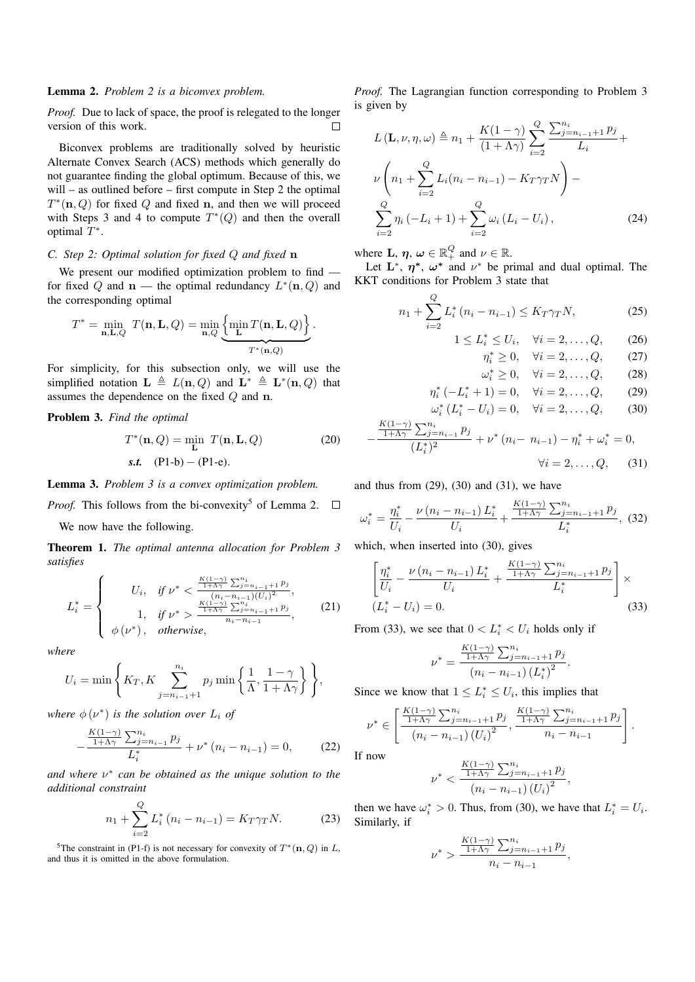## Lemma 2. *Problem 2 is a biconvex problem.*

*Proof.* Due to lack of space, the proof is relegated to the longer version of this work.  $\Box$ 

Biconvex problems are traditionally solved by heuristic Alternate Convex Search (ACS) methods which generally do not guarantee finding the global optimum. Because of this, we will – as outlined before – first compute in Step 2 the optimal  $T^*(n, Q)$  for fixed Q and fixed n, and then we will proceed with Steps 3 and 4 to compute  $T^*(Q)$  and then the overall optimal  $T^*$ .

## *C. Step 2: Optimal solution for fixed* Q *and fixed* n

We present our modified optimization problem to find for fixed Q and  $n$  — the optimal redundancy  $L^*(n, Q)$  and the corresponding optimal

$$
T^* = \min_{\mathbf{n}, \mathbf{L}, Q} T(\mathbf{n}, \mathbf{L}, Q) = \min_{\mathbf{n}, Q} \underbrace{\left\{ \min_{\mathbf{L}} T(\mathbf{n}, \mathbf{L}, Q) \right\}}_{T^*(\mathbf{n}, Q)}.
$$

For simplicity, for this subsection only, we will use the simplified notation  $\mathbf{L} \triangleq L(\mathbf{n}, Q)$  and  $\mathbf{L}^* \triangleq \mathbf{L}^*(\mathbf{n}, Q)$  that assumes the dependence on the fixed Q and n.

Problem 3. *Find the optimal*

$$
T^*(\mathbf{n}, Q) = \min_{\mathbf{L}} T(\mathbf{n}, \mathbf{L}, Q)
$$
 (20)  
s.t. (P1-b) – (P1-e).

Lemma 3. *Problem 3 is a convex optimization problem.*

*Proof.* This follows from the bi-convexity<sup>5</sup> of Lemma 2.  $\Box$ 

We now have the following.

Theorem 1. *The optimal antenna allocation for Problem 3 satisfies*

$$
L_i^* = \begin{cases} U_i, & \text{if } \nu^* < \frac{\frac{K(1-\gamma)}{1+\Lambda\gamma} \sum_{j=n_i-1}^{n_i} p_j}{(n_i - n_{i-1})(U_i)^2}, \\ 1, & \text{if } \nu^* > \frac{\frac{K(1-\gamma)}{1+\Lambda\gamma} \sum_{j=n_i-1}^{n_i} p_j}{n_i - n_{i-1}} \\ \phi(\nu^*), & \text{otherwise,} \end{cases} \tag{21}
$$

*where*

$$
U_i = \min\left\{K_T, K \sum_{j=n_{i-1}+1}^{n_i} p_j \min\left\{\frac{1}{\Lambda}, \frac{1-\gamma}{1+\Lambda\gamma}\right\}\right\},\
$$

where  $\phi(\nu^*)$  is the solution over  $L_i$  of

$$
-\frac{\frac{K(1-\gamma)}{1+\Lambda\gamma}\sum_{j=n_{i-1}}^{n_i}p_j}{L_i^*} + \nu^* (n_i - n_{i-1}) = 0,
$$
 (22)

*and where* ν ∗ *can be obtained as the unique solution to the additional constraint*

$$
n_1 + \sum_{i=2}^{Q} L_i^* (n_i - n_{i-1}) = K_T \gamma_T N.
$$
 (23)

<sup>5</sup>The constraint in (P1-f) is not necessary for convexity of  $T^*(n, Q)$  in L, and thus it is omitted in the above formulation.

*Proof.* The Lagrangian function corresponding to Problem 3 is given by

$$
L(\mathbf{L}, \nu, \eta, \omega) \triangleq n_1 + \frac{K(1-\gamma)}{(1+\Lambda\gamma)} \sum_{i=2}^{Q} \frac{\sum_{j=n_{i-1}+1}^{n_i} p_j}{L_i} + \nu \left( n_1 + \sum_{i=2}^{Q} L_i (n_i - n_{i-1}) - K_T \gamma_T N \right) - \sum_{i=2}^{Q} \eta_i (-L_i + 1) + \sum_{i=2}^{Q} \omega_i (L_i - U_i), \tag{24}
$$

where **L**,  $\eta$ ,  $\omega \in \mathbb{R}_+^Q$  and  $\nu \in \mathbb{R}$ .

Let  $\mathbf{L}^*, \eta^*, \omega^*$  and  $\nu^*$  be primal and dual optimal. The KKT conditions for Problem 3 state that

$$
n_1 + \sum_{i=2}^{Q} L_i^* (n_i - n_{i-1}) \le K_T \gamma_T N, \tag{25}
$$

$$
1 \le L_i^* \le U_i, \quad \forall i = 2, \dots, Q, \tag{26}
$$

$$
n^* > 0, \quad \forall i = 2, \dots, Q, \tag{27}
$$

$$
\eta_i^* \ge 0, \quad \forall i = 2, \dots, Q, \tag{27}
$$

$$
\omega_i^* \ge 0, \quad \forall i = 2, ..., Q, \tag{28}
$$
  

$$
*(1) = 0, \quad \forall i = 2, ..., Q, \tag{29}
$$

$$
\eta_i^* (-L_i^* + 1) = 0, \quad \forall i = 2, ..., Q, \quad (29)
$$
  

$$
\omega_i^* (L_i^* - U_i) = 0, \quad \forall i = 2, ..., Q, \quad (30)
$$

$$
-\frac{\frac{K(1-\gamma)}{1+\Lambda\gamma}\sum_{j=n_{i-1}}^{n_i}p_j}{(L_i^*)^2} + \nu^* (n_i - n_{i-1}) - \eta_i^* + \omega_i^* = 0,
$$
  

$$
\forall i = 2, ..., Q, \quad (31)
$$

and thus from  $(29)$ ,  $(30)$  and  $(31)$ , we have

$$
\omega_{i}^{*} = \frac{\eta_{i}^{*}}{U_{i}} - \frac{\nu (n_{i} - n_{i-1}) L_{i}^{*}}{U_{i}} + \frac{\frac{K(1-\gamma)}{1+\Lambda\gamma} \sum_{j=n_{i-1}+1}^{n_{i}} p_{j}}{L_{i}^{*}},
$$
(32)

which, when inserted into (30), gives

$$
\left[\frac{\eta_i^*}{U_i} - \frac{\nu (n_i - n_{i-1}) L_i^*}{U_i} + \frac{\frac{K(1-\gamma)}{1+\Lambda\gamma} \sum_{j=n_{i-1}+1}^{n_i} p_j}{L_i^*}\right] \times (L_i^* - U_i) = 0.
$$
\n(33)

From (33), we see that  $0 < L_i^* < U_i$  holds only if

$$
\nu^* = \frac{\frac{K(1-\gamma)}{1+\Lambda\gamma} \sum_{j=n_{i-1}+1}^{n_i} p_j}{(n_i - n_{i-1}) (L_i^*)^2}.
$$

Since we know that  $1 \leq L_i^* \leq U_i$ , this implies that

$$
\nu^* \in \left[ \frac{\frac{K(1-\gamma)}{1+\Lambda\gamma} \sum_{j=n_{i-1}+1}^{n_i} p_j}{(n_i - n_{i-1}) (U_i)^2}, \frac{\frac{K(1-\gamma)}{1+\Lambda\gamma} \sum_{j=n_{i-1}+1}^{n_i} p_j}{n_i - n_{i-1}} \right]
$$

.

If now

$$
\nu^* < \frac{\frac{K(1-\gamma)}{1+\Lambda\gamma} \sum_{j=n_{i-1}+1}^{n_i} p_j}{\left(n_i - n_{i-1}\right) \left(U_i\right)^2},
$$

then we have  $\omega_i^* > 0$ . Thus, from (30), we have that  $L_i^* = U_i$ . Similarly, if

$$
\nu^* > \frac{\frac{K(1-\gamma)}{1+\Lambda\gamma} \sum_{j=n_{i-1}+1}^{n_i} p_j}{n_i - n_{i-1}},
$$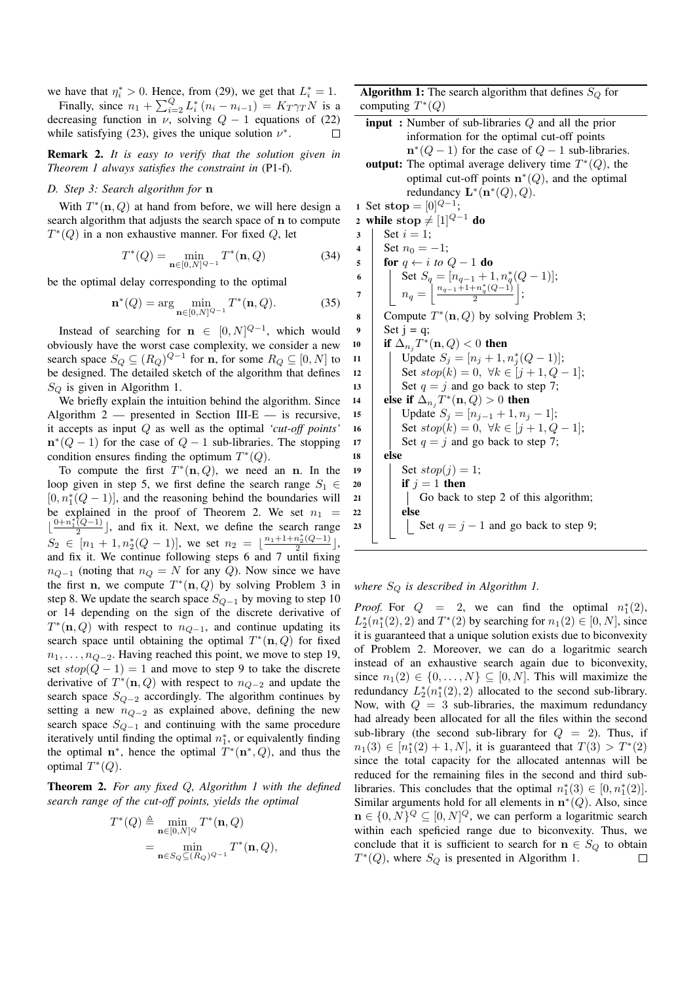we have that  $\eta_i^* > 0$ . Hence, from (29), we get that  $L_i^* = 1$ .

Finally, since  $n_1 + \sum_{i=2}^{Q} L_i^* (n_i - n_{i-1}) = K_T \gamma_T N$  is a decreasing function in  $\nu$ , solving  $Q - 1$  equations of (22) while satisfying (23), gives the unique solution  $\nu^*$ .

Remark 2. *It is easy to verify that the solution given in Theorem 1 always satisfies the constraint in* (P1-f)*.*

## *D. Step 3: Search algorithm for* n

With  $T^*(n, Q)$  at hand from before, we will here design a search algorithm that adjusts the search space of n to compute  $T^*(Q)$  in a non exhaustive manner. For fixed Q, let

$$
T^*(Q) = \min_{\mathbf{n} \in [0, N]^{Q-1}} T^*(\mathbf{n}, Q)
$$
(34)

be the optimal delay corresponding to the optimal

$$
\mathbf{n}^*(Q) = \arg\min_{\mathbf{n}\in[0,N]^{Q-1}} T^*(\mathbf{n}, Q). \tag{35}
$$

Instead of searching for  $\mathbf{n} \in [0, N]^{Q-1}$ , which would obviously have the worst case complexity, we consider a new search space  $S_Q \subseteq (R_Q)^{Q-1}$  for **n**, for some  $R_Q \subseteq [0, N]$  to be designed. The detailed sketch of the algorithm that defines  $S_Q$  is given in Algorithm 1.

We briefly explain the intuition behind the algorithm. Since Algorithm  $2$  — presented in Section III-E — is recursive, it accepts as input Q as well as the optimal *'cut-off points'*  $\mathbf{n}^*(Q-1)$  for the case of  $Q-1$  sub-libraries. The stopping condition ensures finding the optimum  $T^*(Q)$ .

To compute the first  $T^*(n, Q)$ , we need an n. In the loop given in step 5, we first define the search range  $S_1 \in$  $[0, n_1^*(Q-1)]$ , and the reasoning behind the boundaries will be explained in the proof of Theorem 2. We set  $n_1$  =  $\frac{0+n_1^*(Q-1)}{2}$  $\left(\frac{(Q-1)}{2}\right)$ , and fix it. Next, we define the search range  $S_2 \in [n_1 + 1, n_2^*(Q-1)],$  we set  $n_2 = \lfloor \frac{n_1+1+n_2^*(Q-1)}{2} \rfloor$  $\frac{n_2(Q-1)}{2}$ , and fix it. We continue following steps 6 and 7 until fixing  $n_{Q-1}$  (noting that  $n_Q = N$  for any Q). Now since we have the first n, we compute  $T^*(n, Q)$  by solving Problem 3 in step 8. We update the search space  $S_{Q-1}$  by moving to step 10 or 14 depending on the sign of the discrete derivative of  $T^*(n, Q)$  with respect to  $n_{Q-1}$ , and continue updating its search space until obtaining the optimal  $T^*(n, Q)$  for fixed  $n_1, \ldots, n_{Q-2}$ . Having reached this point, we move to step 19, set  $stop(Q - 1) = 1$  and move to step 9 to take the discrete derivative of  $T^*(\mathbf{n}, Q)$  with respect to  $n_{Q-2}$  and update the search space  $S_{Q-2}$  accordingly. The algorithm continues by setting a new  $n_{Q-2}$  as explained above, defining the new search space  $S_{Q-1}$  and continuing with the same procedure iteratively until finding the optimal  $n_1^*$ , or equivalently finding the optimal  $n^*$ , hence the optimal  $T^*(n^*, Q)$ , and thus the optimal  $T^*(Q)$ .

Theorem 2. *For any fixed* Q*, Algorithm 1 with the defined search range of the cut-off points, yields the optimal*

$$
T^*(Q) \triangleq \min_{\mathbf{n} \in [0,N]^Q} T^*(\mathbf{n}, Q)
$$
  
= 
$$
\min_{\mathbf{n} \in S_Q \subseteq (R_Q)^{Q-1}} T^*(\mathbf{n}, Q),
$$

**Algorithm 1:** The search algorithm that defines  $S_Q$  for computing  $T^*(Q)$ 

input : Number of sub-libraries Q and all the prior information for the optimal cut-off points  $\mathbf{n}^*(Q-1)$  for the case of  $Q-1$  sub-libraries. output: The optimal average delivery time  $T^*(Q)$ , the optimal cut-off points  $\mathbf{n}^*(Q)$ , and the optimal redundancy  $\mathbf{L}^*(\mathbf{n}^*(Q), Q)$ . 1 Set stop =  $[0]^{Q-1}$ ; 2 while stop  $\neq$  [1] $Q-1$  do 3 | Set  $i = 1$ ; 4 Set  $n_0 = -1$ ; 5 **for**  $q \leftarrow i$  *to*  $Q - 1$  **do** 6 Set  $S_q = [n_{q-1} + 1, n_q^*(Q-1)];$ 7  $n_q = \frac{n_{q-1}+1+n_q^*(Q-1)}{2}$  $\frac{+n_q^*(Q-1)}{2}$  ; 8 Compute  $T^*(n, Q)$  by solving Problem 3;  $9 \mid \text{Set } i = a$ : 10 if  $\Delta_{n_j} T^*(\mathbf{n}, Q) < 0$  then 11 | Update  $S_j = [n_j + 1, n_j^*(Q - 1)];$ 12 Set  $stop(k) = 0, \forall k \in [j + 1, Q - 1];$ 13 | Set  $q = j$  and go back to step 7; 14 **else if**  $\Delta_{n_j} T^*(n, Q) > 0$  then 15 | Update  $S_j = [n_{j-1} + 1, n_j - 1]$ ; 16 | Set  $stop(k) = 0, \forall k \in [i + 1, Q - 1];$ 17 | Set  $q = j$  and go back to step 7;  $18$  else 19 | Set  $stop(j) = 1;$ 20 if  $j = 1$  then  $21$  Go back to step 2 of this algorithm;  $22$  else 23 | | Set  $q = j - 1$  and go back to step 9;

*where* S<sup>Q</sup> *is described in Algorithm 1.*

*Proof.* For  $Q = 2$ , we can find the optimal  $n_1^*(2)$ ,  $L_2^*(n_1^*(2), 2)$  and  $T^*(2)$  by searching for  $n_1(2) \in [0, N]$ , since it is guaranteed that a unique solution exists due to biconvexity of Problem 2. Moreover, we can do a logaritmic search instead of an exhaustive search again due to biconvexity, since  $n_1(2) \in \{0, \ldots, N\} \subseteq [0, N]$ . This will maximize the redundancy  $L_2^*(n_1^*(2), 2)$  allocated to the second sub-library. Now, with  $Q = 3$  sub-libraries, the maximum redundancy had already been allocated for all the files within the second sub-library (the second sub-library for  $Q = 2$ ). Thus, if  $n_1(3) \in [n_1^*(2) + 1, N]$ , it is guaranteed that  $T(3) > T^*(2)$ since the total capacity for the allocated antennas will be reduced for the remaining files in the second and third sublibraries. This concludes that the optimal  $n_1^*(3) \in [0, n_1^*(2)].$ Similar arguments hold for all elements in  $n*(Q)$ . Also, since  $\mathbf{n} \in \{0, N\}^Q \subseteq [0, N]^Q$ , we can perform a logaritmic search within each speficied range due to biconvexity. Thus, we conclude that it is sufficient to search for  $n \in S_Q$  to obtain  $T^*(Q)$ , where  $S_Q$  is presented in Algorithm 1.  $\Box$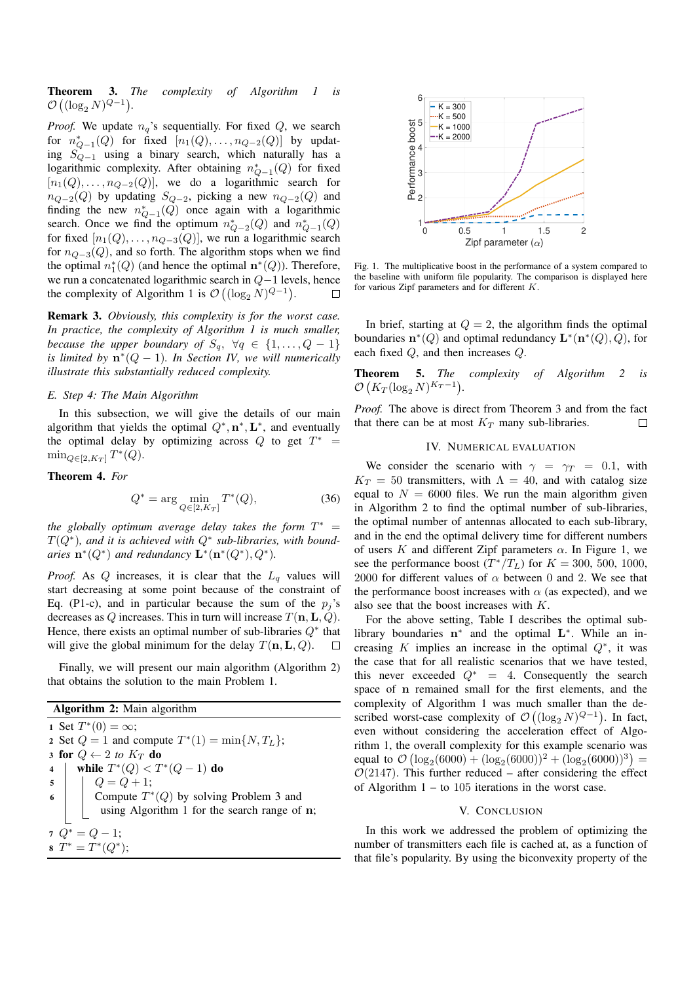Theorem 3. *The complexity of Algorithm 1 is*  $\mathcal{O}\left((\log_2 N)^{Q-1}\right)$ .

*Proof.* We update  $n_q$ 's sequentially. For fixed  $Q$ , we search for  $n_{Q-1}^*(Q)$  for fixed  $[n_1(Q), \ldots, n_{Q-2}(Q)]$  by updating SQ−<sup>1</sup> using a binary search, which naturally has a logarithmic complexity. After obtaining  $n_{Q-1}^*(Q)$  for fixed  $[n_1(Q), \ldots, n_{Q-2}(Q)]$ , we do a logarithmic search for  $n_{Q-2}(Q)$  by updating  $S_{Q-2}$ , picking a new  $n_{Q-2}(Q)$  and finding the new  $n_{Q-1}^*(Q)$  once again with a logarithmic search. Once we find the optimum  $n_{Q-2}^*(Q)$  and  $n_{Q-1}^*(Q)$ for fixed  $[n_1(Q), \ldots, n_{Q-3}(Q)]$ , we run a logarithmic search for  $n_{Q-3}(Q)$ , and so forth. The algorithm stops when we find the optimal  $n_1^*(Q)$  (and hence the optimal  $\mathbf{n}^*(Q)$ ). Therefore, we run a concatenated logarithmic search in Q−1 levels, hence the complexity of Algorithm 1 is  $\mathcal{O}\left((\log_2 N)^{Q-1}\right)$ .  $\Box$ 

Remark 3. *Obviously, this complexity is for the worst case. In practice, the complexity of Algorithm 1 is much smaller, because the upper boundary of*  $S_q$ ,  $\forall q \in \{1, ..., Q - 1\}$ *is limited by* n ∗ (Q − 1)*. In Section IV, we will numerically illustrate this substantially reduced complexity.*

#### *E. Step 4: The Main Algorithm*

In this subsection, we will give the details of our main algorithm that yields the optimal  $Q^*, \mathbf{n}^*, \mathbf{L}^*$ , and eventually the optimal delay by optimizing across Q to get  $T^*$  =  $\min_{Q \in [2, K_T]} T^*(Q).$ 

Theorem 4. *For*

$$
Q^* = \arg\min_{Q \in [2, K_T]} T^*(Q),\tag{36}
$$

the globally optimum average delay takes the form  $T^* =$ T(Q<sup>∗</sup> )*, and it is achieved with* Q<sup>∗</sup> *sub-libraries, with boundaries*  $\mathbf{n}^*(Q^*)$  *and redundancy*  $\mathbf{L}^*(\mathbf{n}^*(Q^*), Q^*)$ *.* 

*Proof.* As  $Q$  increases, it is clear that the  $L_q$  values will start decreasing at some point because of the constraint of Eq. (P1-c), and in particular because the sum of the  $p_i$ 's decreases as Q increases. This in turn will increase  $T(\mathbf{n}, \mathbf{L}, Q)$ . Hence, there exists an optimal number of sub-libraries  $Q^*$  that will give the global minimum for the delay  $T(n, L, Q)$ .  $\Box$ 

Finally, we will present our main algorithm (Algorithm 2) that obtains the solution to the main Problem 1.

Algorithm 2: Main algorithm 1 Set  $T^*(0) = \infty$ ; 2 Set  $Q = 1$  and compute  $T^*(1) = \min\{N, T_L\};$ 3 for  $Q \leftarrow 2$  to  $K_T$  do 4 | while  $T^*(Q) < T^*(Q-1)$  do  $5 | Q = Q + 1;$  $\mathfrak{g}$  | Compute  $T^*(Q)$  by solving Problem 3 and using Algorithm 1 for the search range of n;  $7 Q^* = Q - 1;$ 8  $T^* = T^*(Q^*)$ ;



Fig. 1. The multiplicative boost in the performance of a system compared to the baseline with uniform file popularity. The comparison is displayed here for various Zipf parameters and for different K.

In brief, starting at  $Q = 2$ , the algorithm finds the optimal boundaries  $\mathbf{n}^*(Q)$  and optimal redundancy  $\mathbf{L}^*(\mathbf{n}^*(Q), Q)$ , for each fixed Q, and then increases Q.

Theorem 5. *The complexity of Algorithm 2 is*  $\mathcal{O}\left(K_T(\log_2 N)^{K_T-1}\right)$ .

*Proof.* The above is direct from Theorem 3 and from the fact that there can be at most  $K_T$  many sub-libraries.  $\Box$ 

#### IV. NUMERICAL EVALUATION

We consider the scenario with  $\gamma = \gamma_T = 0.1$ , with  $K_T = 50$  transmitters, with  $\Lambda = 40$ , and with catalog size equal to  $N = 6000$  files. We run the main algorithm given in Algorithm 2 to find the optimal number of sub-libraries, the optimal number of antennas allocated to each sub-library, and in the end the optimal delivery time for different numbers of users K and different Zipf parameters  $\alpha$ . In Figure 1, we see the performance boost  $(T^*/T_L)$  for  $K = 300, 500, 1000$ , 2000 for different values of  $\alpha$  between 0 and 2. We see that the performance boost increases with  $\alpha$  (as expected), and we also see that the boost increases with K.

For the above setting, Table I describes the optimal sublibrary boundaries  $n^*$  and the optimal  $L^*$ . While an increasing K implies an increase in the optimal  $Q^*$ , it was the case that for all realistic scenarios that we have tested, this never exceeded  $Q^* = 4$ . Consequently the search space of n remained small for the first elements, and the complexity of Algorithm 1 was much smaller than the described worst-case complexity of  $\mathcal{O}\left((\log_2 N)^{Q-1}\right)$ . In fact, even without considering the acceleration effect of Algorithm 1, the overall complexity for this example scenario was equal to  $\mathcal{O}(\log_2(6000) + (\log_2(6000))^2 + (\log_2(6000))^3) =$  $O(2147)$ . This further reduced – after considering the effect of Algorithm  $1 -$  to 105 iterations in the worst case.

### V. CONCLUSION

In this work we addressed the problem of optimizing the number of transmitters each file is cached at, as a function of that file's popularity. By using the biconvexity property of the